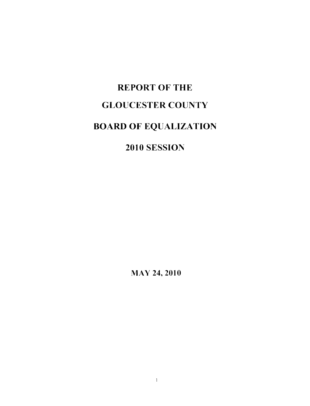# REPORT OF THE GLOUCESTER COUNTY BOARD OF EQUALIZATION

## 2010 SESSION

l\'1AY 24, 2010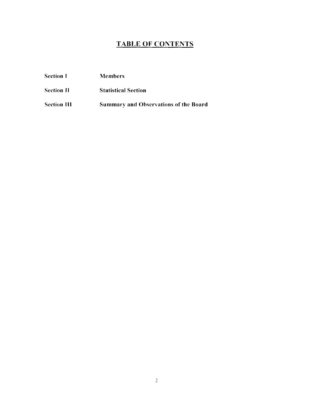### TABLE OF CONTENTS

| <b>Section I</b>  | <b>Members</b>             |
|-------------------|----------------------------|
| <b>Section II</b> | <b>Statistical Section</b> |

Section III Summary and Observations of the Board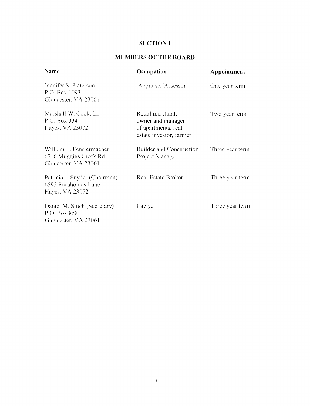#### SECTION **I**

#### **MEMBERSOFTHEBOARD**

| <b>Name</b>                                                                | Occupation                                                                              | Appointment<br>One year term |  |
|----------------------------------------------------------------------------|-----------------------------------------------------------------------------------------|------------------------------|--|
| Jennifer S. Patterson<br>P.O. Box 1093<br>Gloucester, VA 23061             | Appraiser/Assessor                                                                      |                              |  |
| Marshall W. Cook, III<br>P.O. Box 334<br>Hayes, VA 23072                   | Retail merchant,<br>owner and manager<br>of apartments, real<br>estate investor, farmer | Two year term                |  |
| William E. Fenstermacher<br>6710 Muggins Creek Rd.<br>Gloucester, VA 23061 | Builder and Construction<br>Project Manager                                             | Three year term              |  |
| Patricia J. Snyder (Chairman)<br>6595 Pocahontas Lane<br>Hayes, VA 23072   | <b>Real Estate Broker</b>                                                               | Three year term              |  |
| Daniel M. Stuck (Secretary)<br>P.O. Box 858<br>Gloucester, VA 23061        | Lawyer                                                                                  | Three year term              |  |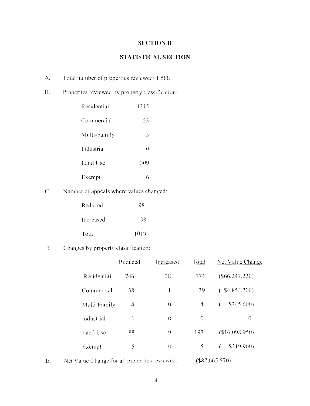#### **SECTION II**

#### **STATISTICAL SECTION**

- A. Total number of properties reviewed: 1,588
- B. Properties reviewed by property classification:

| Residential  | 1215     |
|--------------|----------|
| Commercial   | 53       |
| Multi-Family | 5        |
| Industrial   | $\theta$ |
| Land Use     | 309      |
| Exempt       | 6        |

C. Number of appeals where values changed:

| Reduced   | 981  |
|-----------|------|
| Increased | 38   |
| Total     | 1019 |

D. Changes by property classification:

|              | Reduced  | Increased        | Total    | Net Value Change |
|--------------|----------|------------------|----------|------------------|
| Residential  | 746      | 28               | 774      | (S66, 247, 220)  |
| Commercial   | 38       |                  | 39       | $($ \$4,854,200) |
| Multi-Family | 4        | $\left( \right)$ | 4        | \$245,600<br>€   |
| Industrial   | $\theta$ | $\left( \right)$ | $\theta$ | $\Omega$         |
| Land Use     | 188      | 9                | 197      | (\$16,098,950)   |
| Exempt       | 5        | $\left( \right)$ | 5        | \$219,900)       |
|              |          |                  |          |                  |

E. Net Value Change for all properties reviewed: (\$87,665,870)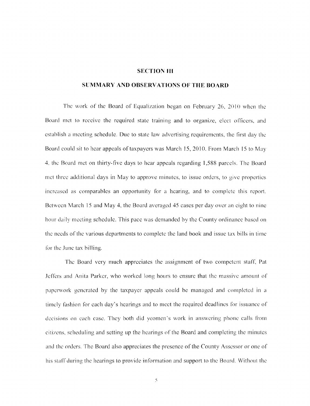#### **SECTION III**

#### **SUMMARY AND OBSERVATIONS OF THE BOARD**

The work of the Board of Equalization began on February 26,  $2010$  when the Board met to receive the required state training and to organize, elect officers, and establish a meeting schedule. Due to state law advertising requirements, the first day the Board could sit to hear appeals of taxpayers was March 15,2010. From March 15 to May 4. the Board met on thirty-five days to hear appeals regarding 1,588 parcels. The Board met three additional days in May to approve minutes, to issue orders, to give properties increased as comparables an opportunity for a hearing, and to complete this report. Between March 15 and May 4, the Board averaged 45 cases per day over an eight to nine hour daily meeting schedule. This pace was demanded by the County ordinance based on the needs of the various departments to complete the land book and issue tax bills in time for the June tax billing.

The Board very much appreciates the assignment of two competent stafr, Pat Jeffers and Anita Parker, who worked long hours to ensure that the massive amount of papenvork generated by the taxpayer appeals could be managed and completed in a timely fashion for each day's hearings and to meet the required deadlines for issuance of decisions on each case. They both did yeomen's work in answering phone calls from citizens, scheduling and setting up the hearings of the Board and completing the minutes and the orders. The Board also appreciates the presence of the County Assessor or one of his staff during the hearings to provide information and support to the Board. Without the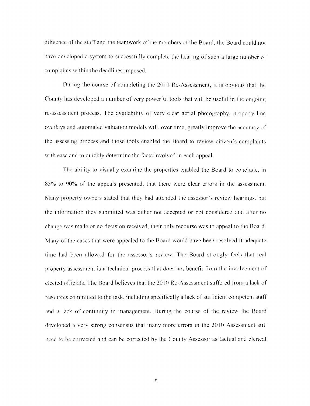diligence of the staff and the teamwork of the members of the Board, the Board could not have developed a system to successfully complete the hearing of such a large number of complaints within the deadlines imposed.

During the course of completing the 2010 Re-Assessment, it is obvious that the County has developed a number of very powerful tools that will be useful in the ongoing re-assessment process. The availability of very clear aerial photography, property line overlays and automated valuation models will, over time, greatly improve the accuracy of the assessing process and those tools enahled the Board to review citizen's complaints with ease and to quickly determine the facts involved in each appeal.

The ability to visually examine the properties enabled the Board to conclude, in 85% to 90% of the appeals presented, that there were clear errors in the assessment. Many property owners stated that they had attended the assessor's review hearings, but the information they submitted was either not accepted or not considered and after no change was made or no decision received, their only recourse was to appeal to the Board. Many of the cases that were appealed to the Board would have been resolved if adequate time had been allowed for the assessor's review. The Board strongly feels that real property assessment is a technical process that does not benefit from the involvement of elected officials. The Board believes that the 2010 Re-Assessment suffered from a lack of resources committed to the task, including specilically a lack of sufficient competent stalT and a lack of continuity in management. During the course of the review the Board developed a very strong consensus that many more errors in the 2010 Assessment still nced to be corrected and can be corrected by the County Assessor as factual and clcrical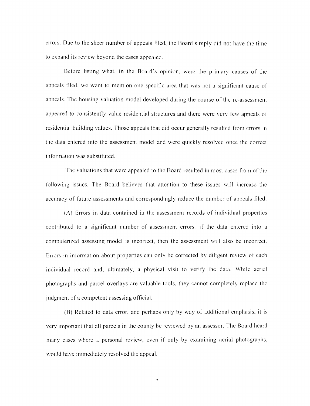errors. Due to the sheer number of appeals filed, the Board simply did not have the time to expand its review beyond the cases appealed.

Before listing what, in the Board's opinion, were the primary causes of the appeals filed, we want to mention one specific area that was not a significant causc of appeals. The housing valuation model developed during the course of the re-assessment appeared to consistently value residential structures and there were very few appeals of residential building values. Those appeals that did occur generally resulted from errors in the data entered into the assessment model and were quickly resolved once the correct information was substituted.

The valuations that were appealed to the Board resulted in most cases from of the following issues. The Board believes that attention to these issues will increase the accuracy of future assessments and correspondingly reduce the number of appeals filed:

(A) Errors in data contained in the assessment records of individual properties contributed to a significant number of assessment errors. If the data entered into a computerized assessing model is incorrect, then the assessment will also be incorrect. Errors in information about properties can only be corrected by diligent review of each individual record and, ultimately, a physical visit to verify the data. While aerial photographs and parcel overlays are valuable tools, they cannot completely replace the judgment of a competent assessing official.

(B) Related to data error, and perhaps only by way of additional emphasis, it is very important that all parcels in the county be reviewed by an assessor. The Board heard many cases where a personal review, even if only by examining aerial photographs, would have immediately resolved the appeal.

7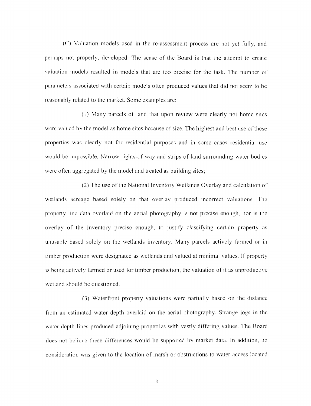(C) Valuation models used in the re-assessment process are not yet fully, and perhaps not properly, developed. The sense of the Board is that the attempt to create valuation models resulted in models that are too precise for the task. The number of parameters associated with certain models often produced values that did not seem to he reasonably related to the market. Some examples are:

(I) Many parcels of land that upon review were clearly not home siles were valued by the model as home sites because of size. The highest and best use of these properties was clearly not for residential purposes and in some cases residential lise would be impossible. Narrow rights-of-way and strips of land surrounding water bodies were often aggregated by the model and treated as building sites;

(2) The use of the National Inventory Wetlands Overlay and calculation of wetlands acreage based solely on that overlay produced incorrect valuations. The property line data overlaid on the aerial photography is not precise enough, nor is the overlay of the inventory precise enough, to justify classifying certain property as unusable based solely on the wetlands inventory. Many parcels actively farmed or in timber production were designated as wetlands and valued at minimal values. If property is being actively farmed or used for timber production, the valuation of it as unproductive wetland should be questioned.

(3) Waterfront property valuations were partially based on the distance from an estimated water depth overlaid on the aerial photography. Strange jogs in the water depth lines produced adjoining properties with vastly differing values. The Board does not believe these differences would be supported by market data. In addition, no consideration was given to the location of marsh or obstructions to water access located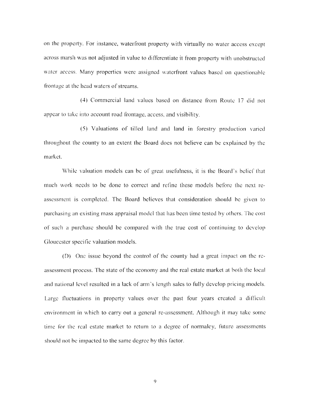on the property. For instance, waterfront property with virtually no water access except across marsh was not adjusted in value to differentiate it from property with unobstructed water access. Many properties were assigned waterfront values based on questionable frontage at the head waters of streams.

(4) Commercial land values based on distance from Route 17 did not appear to take into account road frontage, access, and visibility.

(5) Valuations of tilled land and land in forestry production varied throughout the county to an extent the Board does not believe can be explained by the market.

While valuation models can be of great usefulness, it is the Board's belief that much work needs to be done to correct and refine these models before the next reassessment is completed. The Board believes that consideration should be given to purchasing an existing mass appraisal model that has been time tested by others. The cost or such a purchase should be compared with the true cost of continuing to develop Gloucester specific valuation models.

(0) One isslle beyond the control of the county had a great impact on the reassessment process. The state of the economy and the real estate market at both the local and national level resulted in a lack of arm's length sales to fully develop pricing models. Large fluctuations in property values over the past four years created a difficult environment in which to carry out a general re-assessment. Although it may take some time for the real estate market to return to a degree of normalcy, future assessments should not be impacted to the same degree by this factor.

9